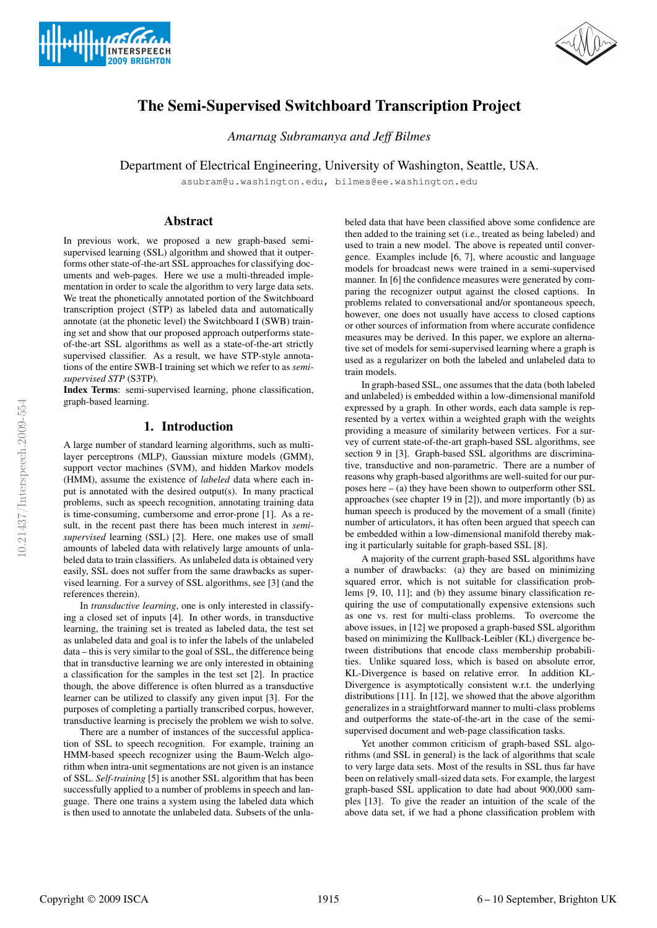



# The Semi-Supervised Switchboard Transcription Project

*Amarnag Subramanya and Jeff Bilmes*

Department of Electrical Engineering, University of Washington, Seattle, USA.

asubram@u.washington.edu, bilmes@ee.washington.edu

### Abstract

In previous work, we proposed a new graph-based semisupervised learning (SSL) algorithm and showed that it outperforms other state-of-the-art SSL approaches for classifying documents and web-pages. Here we use a multi-threaded implementation in order to scale the algorithm to very large data sets. We treat the phonetically annotated portion of the Switchboard transcription project (STP) as labeled data and automatically annotate (at the phonetic level) the Switchboard I (SWB) training set and show that our proposed approach outperforms stateof-the-art SSL algorithms as well as a state-of-the-art strictly supervised classifier. As a result, we have STP-style annotations of the entire SWB-I training set which we refer to as *semisupervised STP* (S3TP).

Index Terms: semi-supervised learning, phone classification, graph-based learning.

## 1. Introduction

A large number of standard learning algorithms, such as multilayer perceptrons (MLP), Gaussian mixture models (GMM), support vector machines (SVM), and hidden Markov models (HMM), assume the existence of *labeled* data where each input is annotated with the desired output(s). In many practical problems, such as speech recognition, annotating training data is time-consuming, cumbersome and error-prone [1]. As a result, in the recent past there has been much interest in *semisupervised* learning (SSL) [2]. Here, one makes use of small amounts of labeled data with relatively large amounts of unlabeled data to train classifiers. As unlabeled data is obtained very easily, SSL does not suffer from the same drawbacks as supervised learning. For a survey of SSL algorithms, see [3] (and the references therein).

In *transductive learning*, one is only interested in classifying a closed set of inputs [4]. In other words, in transductive learning, the training set is treated as labeled data, the test set as unlabeled data and goal is to infer the labels of the unlabeled data – this is very similar to the goal of SSL, the difference being that in transductive learning we are only interested in obtaining a classification for the samples in the test set [2]. In practice though, the above difference is often blurred as a transductive learner can be utilized to classify any given input [3]. For the purposes of completing a partially transcribed corpus, however, transductive learning is precisely the problem we wish to solve.

There are a number of instances of the successful application of SSL to speech recognition. For example, training an HMM-based speech recognizer using the Baum-Welch algorithm when intra-unit segmentations are not given is an instance of SSL. *Self-training* [5] is another SSL algorithm that has been successfully applied to a number of problems in speech and language. There one trains a system using the labeled data which is then used to annotate the unlabeled data. Subsets of the unla-

beled data that have been classified above some confidence are then added to the training set (i.e., treated as being labeled) and used to train a new model. The above is repeated until convergence. Examples include [6, 7], where acoustic and language models for broadcast news were trained in a semi-supervised manner. In [6] the confidence measures were generated by comparing the recognizer output against the closed captions. In problems related to conversational and/or spontaneous speech, however, one does not usually have access to closed captions or other sources of information from where accurate confidence measures may be derived. In this paper, we explore an alternative set of models for semi-supervised learning where a graph is used as a regularizer on both the labeled and unlabeled data to train models.

In graph-based SSL, one assumes that the data (both labeled and unlabeled) is embedded within a low-dimensional manifold expressed by a graph. In other words, each data sample is represented by a vertex within a weighted graph with the weights providing a measure of similarity between vertices. For a survey of current state-of-the-art graph-based SSL algorithms, see section 9 in [3]. Graph-based SSL algorithms are discriminative, transductive and non-parametric. There are a number of reasons why graph-based algorithms are well-suited for our purposes here – (a) they have been shown to outperform other SSL approaches (see chapter 19 in [2]), and more importantly (b) as human speech is produced by the movement of a small (finite) number of articulators, it has often been argued that speech can be embedded within a low-dimensional manifold thereby making it particularly suitable for graph-based SSL [8].

A majority of the current graph-based SSL algorithms have a number of drawbacks: (a) they are based on minimizing squared error, which is not suitable for classification problems [9, 10, 11]; and (b) they assume binary classification requiring the use of computationally expensive extensions such as one vs. rest for multi-class problems. To overcome the above issues, in [12] we proposed a graph-based SSL algorithm based on minimizing the Kullback-Leibler (KL) divergence between distributions that encode class membership probabilities. Unlike squared loss, which is based on absolute error, KL-Divergence is based on relative error. In addition KL-Divergence is asymptotically consistent w.r.t. the underlying distributions [11]. In [12], we showed that the above algorithm generalizes in a straightforward manner to multi-class problems and outperforms the state-of-the-art in the case of the semisupervised document and web-page classification tasks.

Yet another common criticism of graph-based SSL algorithms (and SSL in general) is the lack of algorithms that scale to very large data sets. Most of the results in SSL thus far have been on relatively small-sized data sets. For example, the largest graph-based SSL application to date had about 900,000 samples [13]. To give the reader an intuition of the scale of the above data set, if we had a phone classification problem with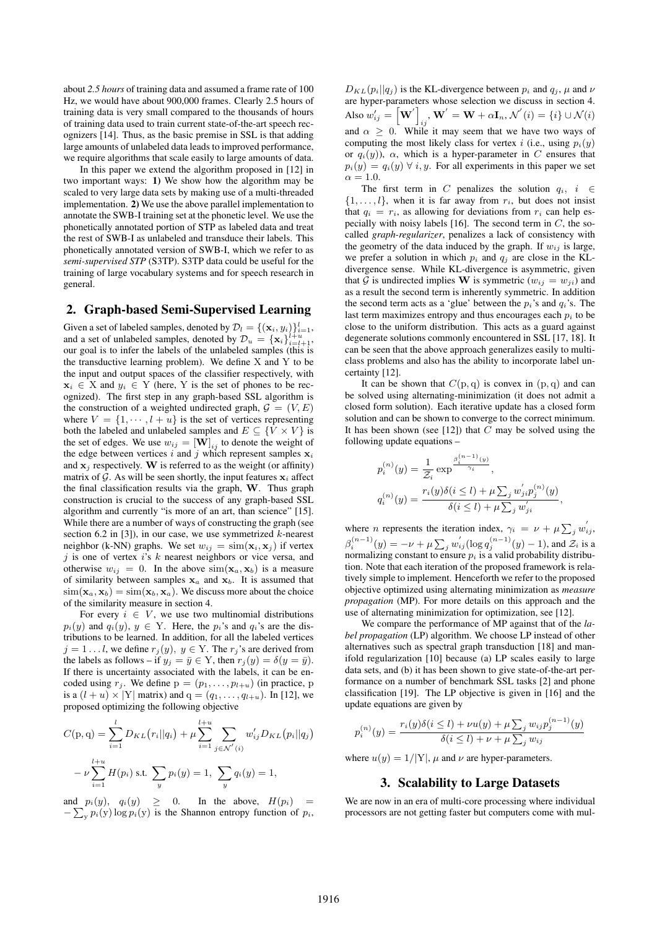about *2.5 hours* of training data and assumed a frame rate of 100 Hz, we would have about 900,000 frames. Clearly 2.5 hours of training data is very small compared to the thousands of hours of training data used to train current state-of-the-art speech recognizers [14]. Thus, as the basic premise in SSL is that adding large amounts of unlabeled data leads to improved performance, we require algorithms that scale easily to large amounts of data.

In this paper we extend the algorithm proposed in [12] in two important ways: 1) We show how the algorithm may be scaled to very large data sets by making use of a multi-threaded implementation. 2) We use the above parallel implementation to annotate the SWB-I training set at the phonetic level. We use the phonetically annotated portion of STP as labeled data and treat the rest of SWB-I as unlabeled and transduce their labels. This phonetically annotated version of SWB-I, which we refer to as *semi-supervised STP* (S3TP). S3TP data could be useful for the training of large vocabulary systems and for speech research in general.

#### 2. Graph-based Semi-Supervised Learning

Given a set of labeled samples, denoted by  $\mathcal{D}_l = \{(\mathbf{x}_i, y_i)\}_{i=1}^l$ , and a set of unlabeled samples, denoted by  $\mathcal{D}_u = {\mathbf{x}_i}_{i=l+1}^{l+u}$ , our goal is to infer the labels of the unlabeled samples (this is the transductive learning problem). We define  $X$  and  $Y$  to be the input and output spaces of the classifier respectively, with  $x_i \in X$  and  $y_i \in Y$  (here, Y is the set of phones to be recognized). The first step in any graph-based SSL algorithm is the construction of a weighted undirected graph,  $\mathcal{G} = (V, E)$ where  $V = \{1, \dots, l + u\}$  is the set of vertices representing both the labeled and unlabeled samples and  $E \subseteq \{V \times V\}$  is the set of edges. We use  $w_{ij} = [\mathbf{W}]_{ij}$  to denote the weight of the edge between vertices i and j which represent samples  $x_i$ and  $x_i$  respectively. W is referred to as the weight (or affinity) matrix of G. As will be seen shortly, the input features  $x_i$  affect the final classification results via the graph, W. Thus graph construction is crucial to the success of any graph-based SSL algorithm and currently "is more of an art, than science" [15]. While there are a number of ways of constructing the graph (see section 6.2 in [3]), in our case, we use symmetrized  $k$ -nearest neighbor (k-NN) graphs. We set  $w_{ij} = \text{sim}(\mathbf{x}_i, \mathbf{x}_j)$  if vertex  $j$  is one of vertex  $i$ 's  $k$  nearest neighbors or vice versa, and otherwise  $w_{ij} = 0$ . In the above  $\text{sim}(\mathbf{x}_a, \mathbf{x}_b)$  is a measure of similarity between samples  $x_a$  and  $x_b$ . It is assumed that  $\text{sim}(\mathbf{x}_a, \mathbf{x}_b) = \text{sim}(\mathbf{x}_b, \mathbf{x}_a)$ . We discuss more about the choice of the similarity measure in section 4.

For every  $i \in V$ , we use two multinomial distributions  $p_i(y)$  and  $q_i(y)$ ,  $y \in Y$ . Here, the  $p_i$ 's and  $q_i$ 's are the distributions to be learned. In addition, for all the labeled vertices  $j = 1...l$ , we define  $r_j(y)$ ,  $y \in Y$ . The  $r_j$ 's are derived from the labels as follows – if  $y_j = \bar{y} \in Y$ , then  $r_j(y) = \delta(y = \bar{y})$ . If there is uncertainty associated with the labels, it can be encoded using  $r_i$ . We define  $p = (p_1, \ldots, p_{l+u})$  (in practice, p is a  $(l + u) \times |Y|$  matrix) and  $q = (q_1, \ldots, q_{l+u})$ . In [12], we proposed optimizing the following objective

$$
C(p,q) = \sum_{i=1}^{l} D_{KL}(r_i||q_i) + \mu \sum_{i=1}^{l+u} \sum_{j \in \mathcal{N}'(i)} w'_{ij} D_{KL}(p_i||q_j)
$$

$$
- \nu \sum_{i=1}^{l+u} H(p_i) \text{ s.t. } \sum_{y} p_i(y) = 1, \sum_{y} q_i(y) = 1,
$$

and  $p_i(y)$ ,  $q_i(y) \geq 0$ . In the above,  $H(p_i) =$  $-\sum_{y} p_i(y) \log p_i(y)$  is the Shannon entropy function of  $p_i$ ,

 $D_{KL}(p_i||q_i)$  is the KL-divergence between  $p_i$  and  $q_i$ ,  $\mu$  and  $\nu$ are hyper-parameters whose selection we discuss in section 4. Also  $w'_{ij} = \begin{bmatrix} \mathbf{W}' \end{bmatrix}$  $\mathbf{w}^{\prime}=\mathbf{W}+\alpha\mathbf{I}_n, \mathcal{N}^{\prime}\left(i\right)=\left\{i\right\}\cup\mathcal{N}(i)$ and  $\alpha \geq 0$ . While it may seem that we have two ways of computing the most likely class for vertex i (i.e., using  $p_i(y)$ ) or  $q_i(y)$ ),  $\alpha$ , which is a hyper-parameter in C ensures that  $p_i(y) = q_i(y) \ \forall \ i, y$ . For all experiments in this paper we set  $\alpha = 1.0$ .

The first term in C penalizes the solution  $q_i$ ,  $i \in$  $\{1, \ldots, l\}$ , when it is far away from  $r_i$ , but does not insist that  $q_i = r_i$ , as allowing for deviations from  $r_i$  can help especially with noisy labels [16]. The second term in  $C$ , the socalled *graph-regularizer*, penalizes a lack of consistency with the geometry of the data induced by the graph. If  $w_{ij}$  is large, we prefer a solution in which  $p_i$  and  $q_j$  are close in the KLdivergence sense. While KL-divergence is asymmetric, given that G is undirected implies W is symmetric  $(w_{ij} = w_{ji})$  and as a result the second term is inherently symmetric. In addition the second term acts as a 'glue' between the  $p_i$ 's and  $q_i$ 's. The last term maximizes entropy and thus encourages each  $p_i$  to be close to the uniform distribution. This acts as a guard against degenerate solutions commonly encountered in SSL [17, 18]. It can be seen that the above approach generalizes easily to multiclass problems and also has the ability to incorporate label uncertainty [12].

It can be shown that  $C(p, q)$  is convex in  $(p, q)$  and can be solved using alternating-minimization (it does not admit a closed form solution). Each iterative update has a closed form solution and can be shown to converge to the correct minimum. It has been shown (see [12]) that  $\overline{C}$  may be solved using the following update equations –

$$
p_i^{(n)}(y) = \frac{1}{\mathcal{Z}_i} \exp^{\frac{\beta_i^{(n-1)}(y)}{\gamma_i}},
$$
  

$$
q_i^{(n)}(y) = \frac{r_i(y)\delta(i \leq l) + \mu \sum_j w'_{ji} p_j^{(n)}(y)}{\delta(i \leq l) + \mu \sum_j w'_{ji}},
$$

where *n* represents the iteration index,  $\gamma_i = \nu + \mu \sum_j w_{ij}^j$ ,  $\beta_i^{(n-1)}(y) = -\nu + \mu \sum_j w_{ij}^{'}(\log q_j^{(n-1)}(y) - 1)$ , and  $\mathcal{Z}_i$  is a normalizing constant to ensure  $p_i$  is a valid probability distribution. Note that each iteration of the proposed framework is relatively simple to implement. Henceforth we refer to the proposed objective optimized using alternating minimization as *measure propagation* (MP). For more details on this approach and the use of alternating minimization for optimization, see [12].

We compare the performance of MP against that of the *label propagation* (LP) algorithm. We choose LP instead of other alternatives such as spectral graph transduction [18] and manifold regularization [10] because (a) LP scales easily to large data sets, and (b) it has been shown to give state-of-the-art performance on a number of benchmark SSL tasks [2] and phone classification [19]. The LP objective is given in [16] and the update equations are given by

$$
p_i^{(n)}(y) = \frac{r_i(y)\delta(i \le l) + \nu u(y) + \mu \sum_j w_{ij} p_j^{(n-1)}(y)}{\delta(i \le l) + \nu + \mu \sum_j w_{ij}}
$$

where  $u(y) = 1/|Y|$ ,  $\mu$  and  $\nu$  are hyper-parameters.

### 3. Scalability to Large Datasets

We are now in an era of multi-core processing where individual processors are not getting faster but computers come with mul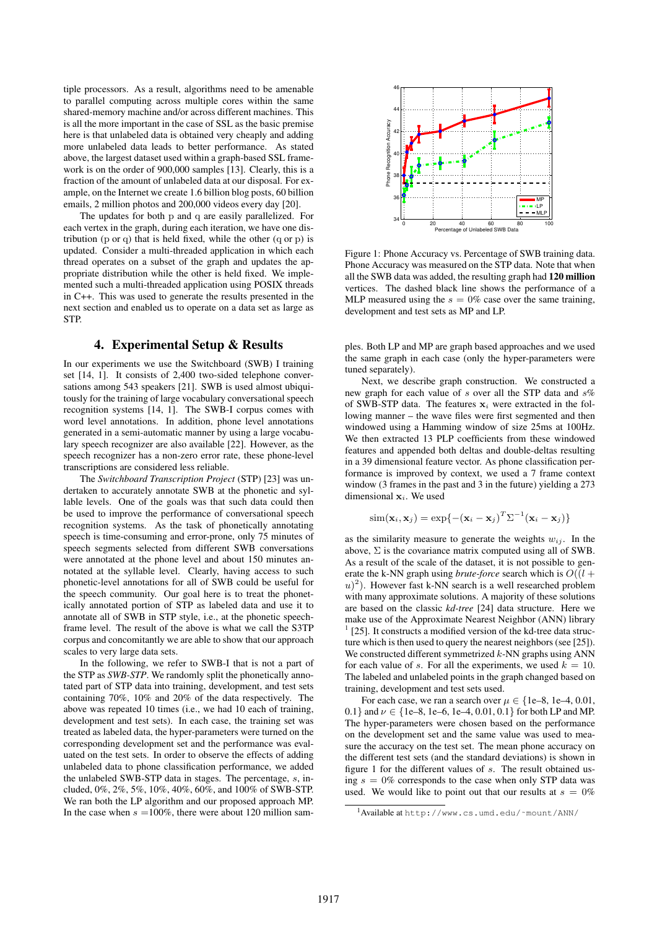tiple processors. As a result, algorithms need to be amenable to parallel computing across multiple cores within the same shared-memory machine and/or across different machines. This is all the more important in the case of SSL as the basic premise here is that unlabeled data is obtained very cheaply and adding more unlabeled data leads to better performance. As stated above, the largest dataset used within a graph-based SSL framework is on the order of 900,000 samples [13]. Clearly, this is a fraction of the amount of unlabeled data at our disposal. For example, on the Internet we create 1.6 billion blog posts, 60 billion emails, 2 million photos and 200,000 videos every day [20].

The updates for both p and q are easily parallelized. For each vertex in the graph, during each iteration, we have one distribution (p or q) that is held fixed, while the other  $(q$  or p) is updated. Consider a multi-threaded application in which each thread operates on a subset of the graph and updates the appropriate distribution while the other is held fixed. We implemented such a multi-threaded application using POSIX threads in C++. This was used to generate the results presented in the next section and enabled us to operate on a data set as large as STP.

#### 4. Experimental Setup & Results

In our experiments we use the Switchboard (SWB) I training set [14, 1]. It consists of 2,400 two-sided telephone conversations among 543 speakers [21]. SWB is used almost ubiquitously for the training of large vocabulary conversational speech recognition systems [14, 1]. The SWB-I corpus comes with word level annotations. In addition, phone level annotations generated in a semi-automatic manner by using a large vocabulary speech recognizer are also available [22]. However, as the speech recognizer has a non-zero error rate, these phone-level transcriptions are considered less reliable.

The *Switchboard Transcription Project* (STP) [23] was undertaken to accurately annotate SWB at the phonetic and syllable levels. One of the goals was that such data could then be used to improve the performance of conversational speech recognition systems. As the task of phonetically annotating speech is time-consuming and error-prone, only 75 minutes of speech segments selected from different SWB conversations were annotated at the phone level and about 150 minutes annotated at the syllable level. Clearly, having access to such phonetic-level annotations for all of SWB could be useful for the speech community. Our goal here is to treat the phonetically annotated portion of STP as labeled data and use it to annotate all of SWB in STP style, i.e., at the phonetic speechframe level. The result of the above is what we call the S3TP corpus and concomitantly we are able to show that our approach scales to very large data sets.

In the following, we refer to SWB-I that is not a part of the STP as *SWB-STP*. We randomly split the phonetically annotated part of STP data into training, development, and test sets containing 70%, 10% and 20% of the data respectively. The above was repeated 10 times (i.e., we had 10 each of training, development and test sets). In each case, the training set was treated as labeled data, the hyper-parameters were turned on the corresponding development set and the performance was evaluated on the test sets. In order to observe the effects of adding unlabeled data to phone classification performance, we added the unlabeled SWB-STP data in stages. The percentage, s, included, 0%, 2%, 5%, 10%, 40%, 60%, and 100% of SWB-STP. We ran both the LP algorithm and our proposed approach MP. In the case when  $s = 100\%$ , there were about 120 million sam-



Figure 1: Phone Accuracy vs. Percentage of SWB training data. Phone Accuracy was measured on the STP data. Note that when all the SWB data was added, the resulting graph had 120 million vertices. The dashed black line shows the performance of a MLP measured using the  $s = 0\%$  case over the same training, development and test sets as MP and LP.

ples. Both LP and MP are graph based approaches and we used the same graph in each case (only the hyper-parameters were tuned separately).

Next, we describe graph construction. We constructed a new graph for each value of s over all the STP data and s% of SWB-STP data. The features  $x_i$  were extracted in the following manner – the wave files were first segmented and then windowed using a Hamming window of size 25ms at 100Hz. We then extracted 13 PLP coefficients from these windowed features and appended both deltas and double-deltas resulting in a 39 dimensional feature vector. As phone classification performance is improved by context, we used a 7 frame context window (3 frames in the past and 3 in the future) yielding a 273 dimensional  $x_i$ . We used

$$
\text{sim}(\mathbf{x}_i, \mathbf{x}_j) = \text{exp}\{-(\mathbf{x}_i - \mathbf{x}_j)^T \Sigma^{-1} (\mathbf{x}_i - \mathbf{x}_j)\}
$$

as the similarity measure to generate the weights  $w_{ij}$ . In the above,  $\Sigma$  is the covariance matrix computed using all of SWB. As a result of the scale of the dataset, it is not possible to generate the k-NN graph using *brute-force* search which is  $O((l +$  $(u)^2$ ). However fast k-NN search is a well researched problem with many approximate solutions. A majority of these solutions are based on the classic *kd-tree* [24] data structure. Here we make use of the Approximate Nearest Neighbor (ANN) library 1 [25]. It constructs a modified version of the kd-tree data structure which is then used to query the nearest neighbors (see [25]). We constructed different symmetrized  $k$ -NN graphs using ANN for each value of s. For all the experiments, we used  $k = 10$ . The labeled and unlabeled points in the graph changed based on training, development and test sets used.

For each case, we ran a search over  $\mu \in \{1e-8, 1e-4, 0.01,$ 0.1} and  $\nu \in \{1e-8, 1e-6, 1e-4, 0.01, 0.1\}$  for both LP and MP. The hyper-parameters were chosen based on the performance on the development set and the same value was used to measure the accuracy on the test set. The mean phone accuracy on the different test sets (and the standard deviations) is shown in figure 1 for the different values of s. The result obtained using  $s = 0\%$  corresponds to the case when only STP data was used. We would like to point out that our results at  $s = 0\%$ 

<sup>1</sup>Available at http://www.cs.umd.edu/˜mount/ANN/